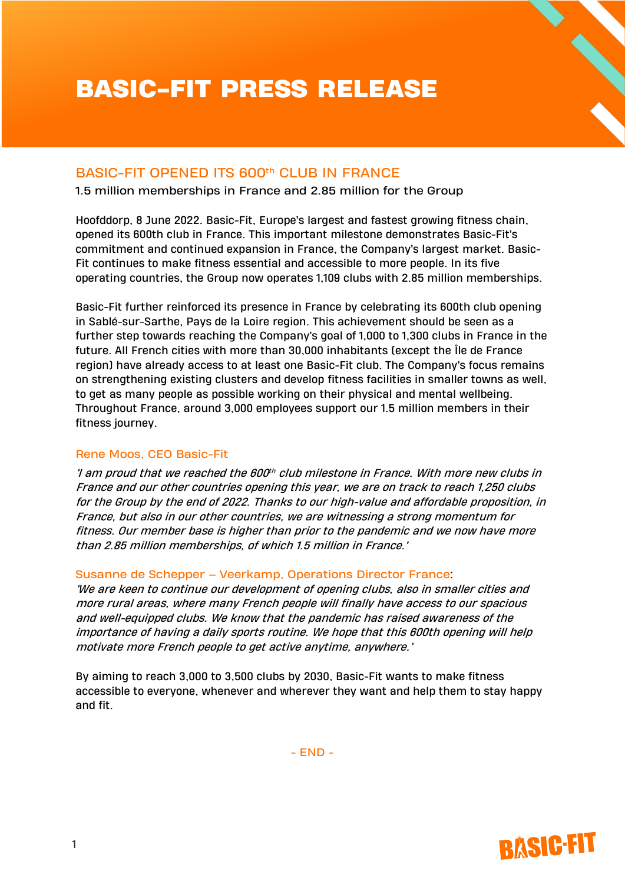# BASIC-FIT PRESS RELEASE

## BASIC-FIT OPENED ITS 600th CLUB IN FRANCE

1.5 million memberships in France and 2.85 million for the Group

Hoofddorp, 8 June 2022. Basic-Fit, Europe's largest and fastest growing fitness chain, opened its 600th club in France. This important milestone demonstrates Basic-Fit's commitment and continued expansion in France, the Company's largest market. Basic-Fit continues to make fitness essential and accessible to more people. In its five operating countries, the Group now operates 1,109 clubs with 2.85 million memberships.

Basic-Fit further reinforced its presence in France by celebrating its 600th club opening in Sablé-sur-Sarthe, Pays de la Loire region. This achievement should be seen as a further step towards reaching the Company's goal of 1,000 to 1,300 clubs in France in the future. All French cities with more than 30,000 inhabitants (except the Île de France region) have already access to at least one Basic-Fit club. The Company's focus remains on strengthening existing clusters and develop fitness facilities in smaller towns as well, to get as many people as possible working on their physical and mental wellbeing. Throughout France, around 3,000 employees support our 1.5 million members in their fitness journey.

### Rene Moos, CEO Basic-Fit

'I am proud that we reached the 600 $^{\rm th}$  club milestone in France. With more new clubs in France and our other countries opening this year, we are on track to reach 1,250 clubs for the Group by the end of 2022. Thanks to our high-value and affordable proposition, in France, but also in our other countries, we are witnessing a strong momentum for fitness. Our member base is higher than prior to the pandemic and we now have more than 2.85 million memberships, of which 1.5 million in France.'

#### Susanne de Schepper – Veerkamp, Operations Director France:

'We are keen to continue our development of opening clubs, also in smaller cities and more rural areas, where many French people will finally have access to our spacious and well-equipped clubs. We know that the pandemic has raised awareness of the importance of having a daily sports routine. We hope that this 600th opening will help motivate more French people to get active anytime, anywhere.'

By aiming to reach 3,000 to 3,500 clubs by 2030, Basic-Fit wants to make fitness accessible to everyone, whenever and wherever they want and help them to stay happy and fit.

 $-$  FND  $-$